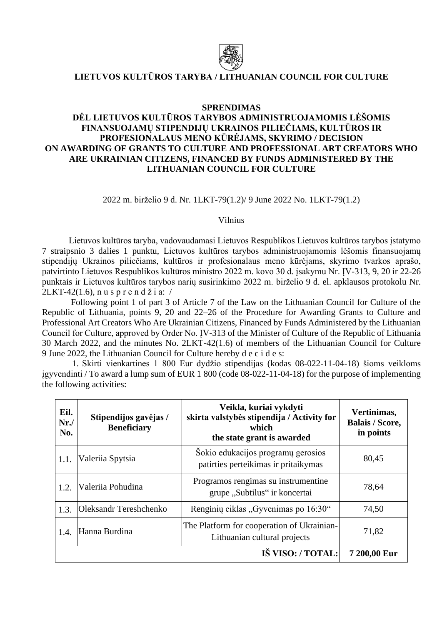

## **LIETUVOS KULTŪROS TARYBA / LITHUANIAN COUNCIL FOR CULTURE**

## **SPRENDIMAS**

## **DĖL LIETUVOS KULTŪROS TARYBOS ADMINISTRUOJAMOMIS LĖŠOMIS FINANSUOJAMŲ STIPENDIJŲ UKRAINOS PILIEČIAMS, KULTŪROS IR PROFESIONALAUS MENO KŪRĖJAMS, SKYRIMO / DECISION ON AWARDING OF GRANTS TO CULTURE AND PROFESSIONAL ART CREATORS WHO ARE UKRAINIAN CITIZENS, FINANCED BY FUNDS ADMINISTERED BY THE LITHUANIAN COUNCIL FOR CULTURE**

2022 m. birželio 9 d. Nr. 1LKT-79(1.2)/ 9 June 2022 No. 1LKT-79(1.2)

Vilnius

Lietuvos kultūros taryba, vadovaudamasi Lietuvos Respublikos Lietuvos kultūros tarybos įstatymo 7 straipsnio 3 dalies 1 punktu, Lietuvos kultūros tarybos administruojamomis lėšomis finansuojamų stipendijų Ukrainos piliečiams, kultūros ir profesionalaus meno kūrėjams, skyrimo tvarkos aprašo, patvirtinto Lietuvos Respublikos kultūros ministro 2022 m. kovo 30 d. įsakymu Nr. ĮV-313, 9, 20 ir 22-26 punktais ir Lietuvos kultūros tarybos narių susirinkimo 2022 m. birželio 9 d. el. apklausos protokolu Nr.  $2LKT-42(1.6)$ , nus p r e n d ž i a: /

Following point 1 of part 3 of Article 7 of the Law on the Lithuanian Council for Culture of the Republic of Lithuania, points 9, 20 and 22–26 of the Procedure for Awarding Grants to Culture and Professional Art Creators Who Are Ukrainian Citizens, Financed by Funds Administered by the Lithuanian Council for Culture, approved by Order No. ĮV-313 of the Minister of Culture of the Republic of Lithuania 30 March 2022, and the minutes No. 2LKT-42(1.6) of members of the Lithuanian Council for Culture 9 June 2022, the Lithuanian Council for Culture hereby d e c i d e s:

1. Skirti vienkartines 1 800 Eur dydžio stipendijas (kodas 08-022-11-04-18) šioms veikloms įgyvendinti / To award a lump sum of EUR 1 800 (code 08-022-11-04-18) for the purpose of implementing the following activities:

| Eil.<br>Nr.<br>No. | Stipendijos gavėjas /<br><b>Beneficiary</b> | Veikla, kuriai vykdyti<br>skirta valstybės stipendija / Activity for<br>which<br>the state grant is awarded | Vertinimas,<br><b>Balais / Score,</b><br>in points |
|--------------------|---------------------------------------------|-------------------------------------------------------------------------------------------------------------|----------------------------------------------------|
| 1.1.               | Valeriia Spytsia                            | Šokio edukacijos programų gerosios<br>patirties perteikimas ir pritaikymas                                  | 80,45                                              |
| 1.2.               | Valeriia Pohudina                           | Programos rengimas su instrumentine<br>grupe "Subtilus" ir koncertai                                        | 78,64                                              |
| 1.3.               | <b>Oleksandr Tereshchenko</b>               | Renginių ciklas "Gyvenimas po 16:30"                                                                        | 74,50                                              |
| 1.4.               | Hanna Burdina                               | The Platform for cooperation of Ukrainian-<br>Lithuanian cultural projects                                  | 71,82                                              |
| IŠ VISO: / TOTAL:  |                                             |                                                                                                             | 7 200,00 Eur                                       |